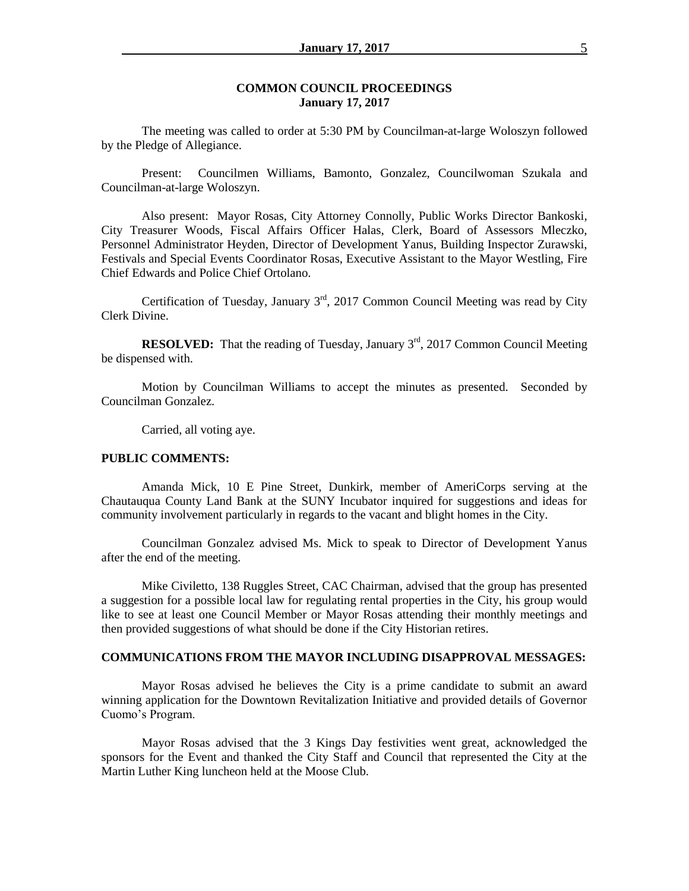### **COMMON COUNCIL PROCEEDINGS January 17, 2017**

The meeting was called to order at 5:30 PM by Councilman-at-large Woloszyn followed by the Pledge of Allegiance.

Present: Councilmen Williams, Bamonto, Gonzalez, Councilwoman Szukala and Councilman-at-large Woloszyn.

Also present: Mayor Rosas, City Attorney Connolly, Public Works Director Bankoski, City Treasurer Woods, Fiscal Affairs Officer Halas, Clerk, Board of Assessors Mleczko, Personnel Administrator Heyden, Director of Development Yanus, Building Inspector Zurawski, Festivals and Special Events Coordinator Rosas, Executive Assistant to the Mayor Westling, Fire Chief Edwards and Police Chief Ortolano.

Certification of Tuesday, January  $3<sup>rd</sup>$ , 2017 Common Council Meeting was read by City Clerk Divine.

**RESOLVED:** That the reading of Tuesday, January 3<sup>rd</sup>, 2017 Common Council Meeting be dispensed with.

Motion by Councilman Williams to accept the minutes as presented. Seconded by Councilman Gonzalez.

Carried, all voting aye.

### **PUBLIC COMMENTS:**

Amanda Mick, 10 E Pine Street, Dunkirk, member of AmeriCorps serving at the Chautauqua County Land Bank at the SUNY Incubator inquired for suggestions and ideas for community involvement particularly in regards to the vacant and blight homes in the City.

Councilman Gonzalez advised Ms. Mick to speak to Director of Development Yanus after the end of the meeting.

Mike Civiletto, 138 Ruggles Street, CAC Chairman, advised that the group has presented a suggestion for a possible local law for regulating rental properties in the City, his group would like to see at least one Council Member or Mayor Rosas attending their monthly meetings and then provided suggestions of what should be done if the City Historian retires.

### **COMMUNICATIONS FROM THE MAYOR INCLUDING DISAPPROVAL MESSAGES:**

Mayor Rosas advised he believes the City is a prime candidate to submit an award winning application for the Downtown Revitalization Initiative and provided details of Governor Cuomo's Program.

Mayor Rosas advised that the 3 Kings Day festivities went great, acknowledged the sponsors for the Event and thanked the City Staff and Council that represented the City at the Martin Luther King luncheon held at the Moose Club.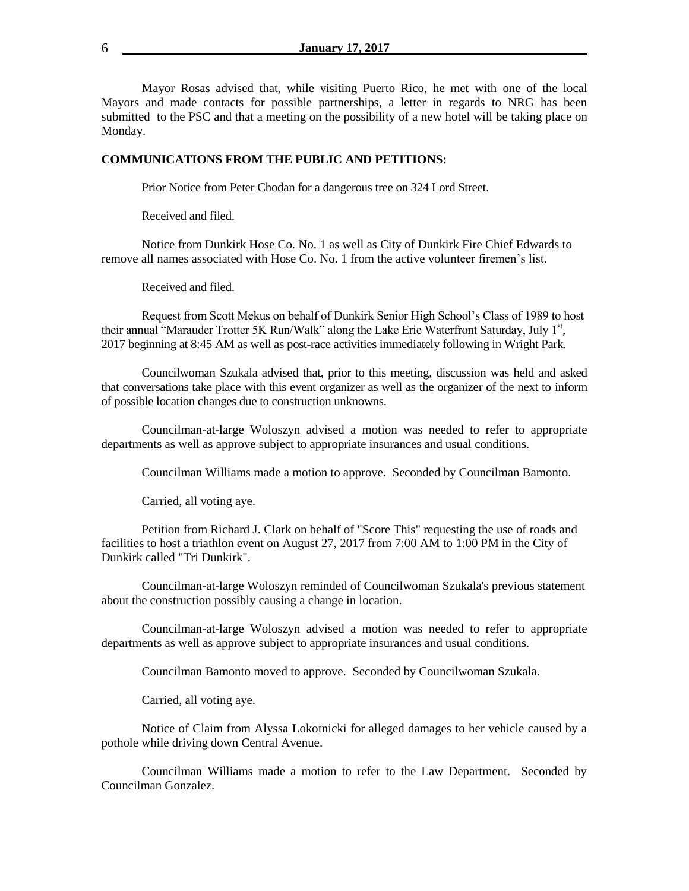Mayor Rosas advised that, while visiting Puerto Rico, he met with one of the local Mayors and made contacts for possible partnerships, a letter in regards to NRG has been submitted to the PSC and that a meeting on the possibility of a new hotel will be taking place on Monday.

#### **COMMUNICATIONS FROM THE PUBLIC AND PETITIONS:**

Prior Notice from Peter Chodan for a dangerous tree on 324 Lord Street.

Received and filed.

Notice from Dunkirk Hose Co. No. 1 as well as City of Dunkirk Fire Chief Edwards to remove all names associated with Hose Co. No. 1 from the active volunteer firemen's list.

Received and filed.

Request from Scott Mekus on behalf of Dunkirk Senior High School's Class of 1989 to host their annual "Marauder Trotter 5K Run/Walk" along the Lake Erie Waterfront Saturday, July 1st, 2017 beginning at 8:45 AM as well as post-race activities immediately following in Wright Park.

Councilwoman Szukala advised that, prior to this meeting, discussion was held and asked that conversations take place with this event organizer as well as the organizer of the next to inform of possible location changes due to construction unknowns.

Councilman-at-large Woloszyn advised a motion was needed to refer to appropriate departments as well as approve subject to appropriate insurances and usual conditions.

Councilman Williams made a motion to approve. Seconded by Councilman Bamonto.

Carried, all voting aye.

 Petition from Richard J. Clark on behalf of "Score This" requesting the use of roads and facilities to host a triathlon event on August 27, 2017 from 7:00 AM to 1:00 PM in the City of Dunkirk called "Tri Dunkirk".

Councilman-at-large Woloszyn reminded of Councilwoman Szukala's previous statement about the construction possibly causing a change in location.

Councilman-at-large Woloszyn advised a motion was needed to refer to appropriate departments as well as approve subject to appropriate insurances and usual conditions.

Councilman Bamonto moved to approve. Seconded by Councilwoman Szukala.

Carried, all voting aye.

Notice of Claim from Alyssa Lokotnicki for alleged damages to her vehicle caused by a pothole while driving down Central Avenue.

Councilman Williams made a motion to refer to the Law Department. Seconded by Councilman Gonzalez.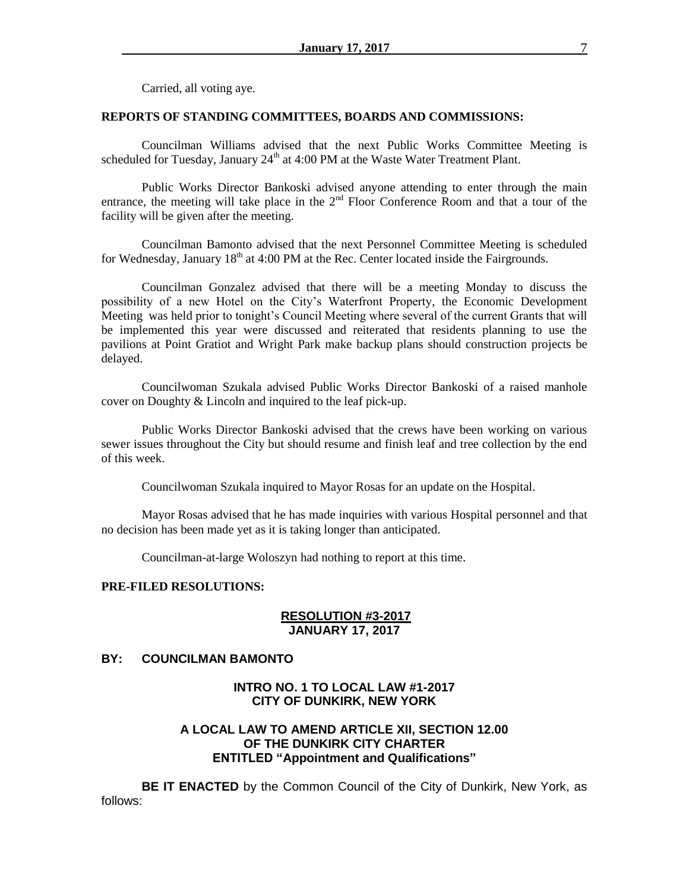Carried, all voting aye.

### **REPORTS OF STANDING COMMITTEES, BOARDS AND COMMISSIONS:**

Councilman Williams advised that the next Public Works Committee Meeting is scheduled for Tuesday, January  $24<sup>th</sup>$  at 4:00 PM at the Waste Water Treatment Plant.

Public Works Director Bankoski advised anyone attending to enter through the main entrance, the meeting will take place in the  $2<sup>nd</sup>$  Floor Conference Room and that a tour of the facility will be given after the meeting.

Councilman Bamonto advised that the next Personnel Committee Meeting is scheduled for Wednesday, January  $18<sup>th</sup>$  at 4:00 PM at the Rec. Center located inside the Fairgrounds.

Councilman Gonzalez advised that there will be a meeting Monday to discuss the possibility of a new Hotel on the City's Waterfront Property, the Economic Development Meeting was held prior to tonight's Council Meeting where several of the current Grants that will be implemented this year were discussed and reiterated that residents planning to use the pavilions at Point Gratiot and Wright Park make backup plans should construction projects be delayed.

Councilwoman Szukala advised Public Works Director Bankoski of a raised manhole cover on Doughty & Lincoln and inquired to the leaf pick-up.

Public Works Director Bankoski advised that the crews have been working on various sewer issues throughout the City but should resume and finish leaf and tree collection by the end of this week.

Councilwoman Szukala inquired to Mayor Rosas for an update on the Hospital.

Mayor Rosas advised that he has made inquiries with various Hospital personnel and that no decision has been made yet as it is taking longer than anticipated.

Councilman-at-large Woloszyn had nothing to report at this time.

### **PRE-FILED RESOLUTIONS:**

### **RESOLUTION #3-2017 JANUARY 17, 2017**

## **BY: COUNCILMAN BAMONTO**

## **INTRO NO. 1 TO LOCAL LAW #1-2017 CITY OF DUNKIRK, NEW YORK**

## **A LOCAL LAW TO AMEND ARTICLE XII, SECTION 12.00 OF THE DUNKIRK CITY CHARTER ENTITLED "Appointment and Qualifications"**

**BE IT ENACTED** by the Common Council of the City of Dunkirk, New York, as follows: